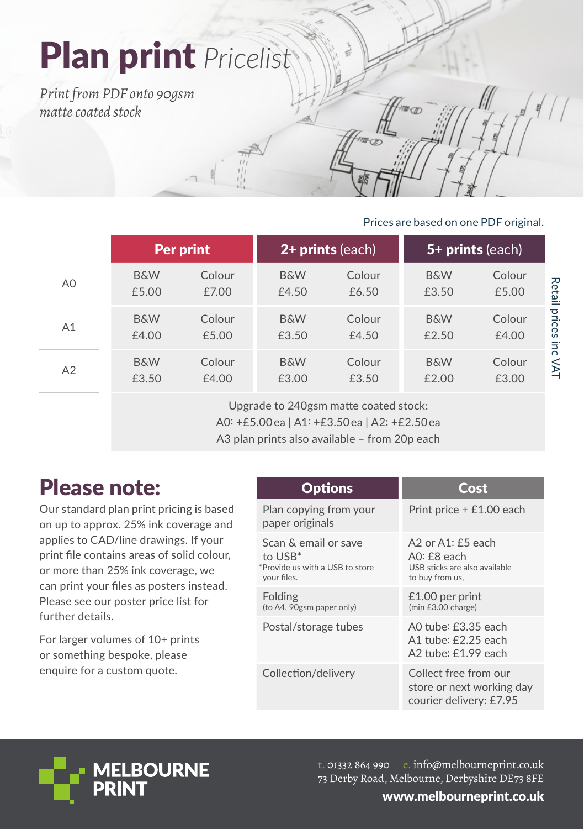# Plan print *Pricelist*

*Print from PDF onto 90gsm matte coated stock*

### Prices are based on one PDF original.

|    | <b>Per print</b>        |                 | 2+ prints (each)        |                 | 5+ prints (each)        |                 |               |
|----|-------------------------|-----------------|-------------------------|-----------------|-------------------------|-----------------|---------------|
| A0 | <b>B&amp;W</b><br>£5.00 | Colour<br>£7.00 | <b>B&amp;W</b><br>£4.50 | Colour<br>£6.50 | <b>B&amp;W</b><br>£3.50 | Colour<br>£5.00 | Retail        |
| A1 | <b>B&amp;W</b><br>£4.00 | Colour<br>£5.00 | <b>B&amp;W</b><br>£3.50 | Colour<br>£4.50 | <b>B&amp;W</b><br>£2.50 | Colour<br>£4.00 | prices<br>inc |
| A2 | <b>B&amp;W</b><br>£3.50 | Colour<br>£4.00 | <b>B&amp;W</b><br>£3.00 | Colour<br>£3.50 | <b>B&amp;W</b><br>£2.00 | Colour<br>£3.00 | $\leq$        |

Upgrade to 240gsm matte coated stock: A0: +£5.00 ea | A1: +£3.50 ea | A2: +£2.50 ea A3 plan prints also available – from 20p each

## Please note:

Our standard plan print pricing is based on up to approx. 25% ink coverage and applies to CAD/line drawings. If your print file contains areas of solid colour, or more than 25% ink coverage, we can print your files as posters instead. Please see our poster price list for further details.

For larger volumes of 10+ prints or something bespoke, please enquire for a custom quote.

| opuons |  |  |  |
|--------|--|--|--|
|        |  |  |  |

| Plan copying from your<br>paper originals                                            | Print price + £1.00 each                                                                  |
|--------------------------------------------------------------------------------------|-------------------------------------------------------------------------------------------|
| Scan & email or save<br>to $USB^*$<br>*Provide us with a USB to store<br>your files. | A2 or $A1:55$ each<br>$AO:$ $f8$ each<br>USB sticks are also available<br>to buy from us, |
| Folding<br>(to A4. 90gsm paper only)                                                 | $£1.00$ per print<br>(min £3.00 charge)                                                   |
| Postal/storage tubes                                                                 | A0 tube: £3.35 each<br>A1 tube: £2.25 each<br>A2 tube: £1.99 each                         |
| Collection/delivery                                                                  | Collect free from our<br>store or next working day<br>courier delivery: £7.95             |



t. 01332 864 990 e. info@melbourneprint.co.uk 73 Derby Road, Melbourne, Derbyshire DE73 8FE

**Cost**